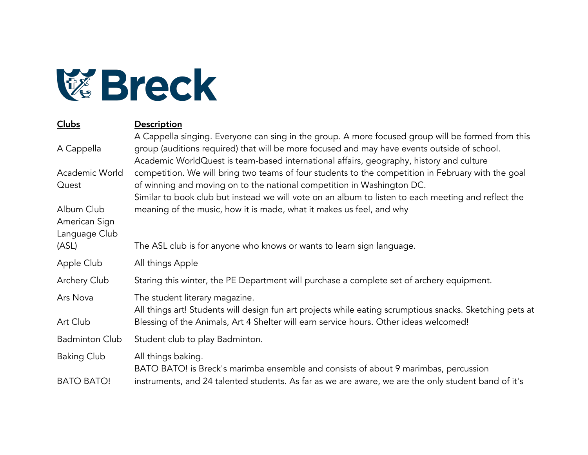

| Clubs                                        | Description                                                                                                                                                                                                                                                                                 |
|----------------------------------------------|---------------------------------------------------------------------------------------------------------------------------------------------------------------------------------------------------------------------------------------------------------------------------------------------|
| A Cappella                                   | A Cappella singing. Everyone can sing in the group. A more focused group will be formed from this<br>group (auditions required) that will be more focused and may have events outside of school.<br>Academic WorldQuest is team-based international affairs, geography, history and culture |
| Academic World                               | competition. We will bring two teams of four students to the competition in February with the goal                                                                                                                                                                                          |
| Quest                                        | of winning and moving on to the national competition in Washington DC.<br>Similar to book club but instead we will vote on an album to listen to each meeting and reflect the                                                                                                               |
| Album Club<br>American Sign<br>Language Club | meaning of the music, how it is made, what it makes us feel, and why                                                                                                                                                                                                                        |
| (ASL)                                        | The ASL club is for anyone who knows or wants to learn sign language.                                                                                                                                                                                                                       |
| Apple Club                                   | All things Apple                                                                                                                                                                                                                                                                            |
| Archery Club                                 | Staring this winter, the PE Department will purchase a complete set of archery equipment.                                                                                                                                                                                                   |
| Ars Nova                                     | The student literary magazine.<br>All things art! Students will design fun art projects while eating scrumptious snacks. Sketching pets at                                                                                                                                                  |
| Art Club                                     | Blessing of the Animals, Art 4 Shelter will earn service hours. Other ideas welcomed!                                                                                                                                                                                                       |
| <b>Badminton Club</b>                        | Student club to play Badminton.                                                                                                                                                                                                                                                             |
| <b>Baking Club</b>                           | All things baking.<br>BATO BATO! is Breck's marimba ensemble and consists of about 9 marimbas, percussion                                                                                                                                                                                   |
| <b>BATO BATO!</b>                            | instruments, and 24 talented students. As far as we are aware, we are the only student band of it's                                                                                                                                                                                         |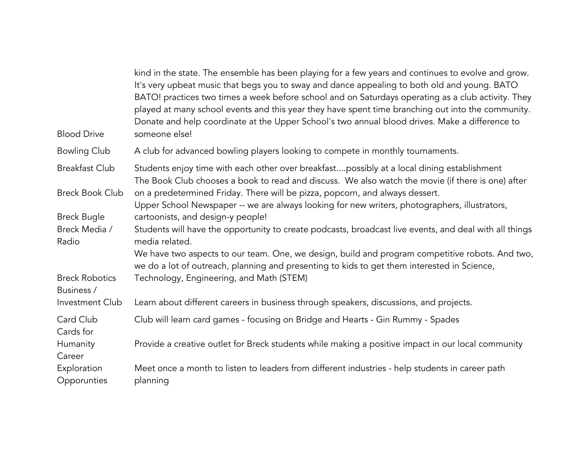| <b>Blood Drive</b>                  | kind in the state. The ensemble has been playing for a few years and continues to evolve and grow.<br>It's very upbeat music that begs you to sway and dance appealing to both old and young. BATO<br>BATO! practices two times a week before school and on Saturdays operating as a club activity. They<br>played at many school events and this year they have spent time branching out into the community.<br>Donate and help coordinate at the Upper School's two annual blood drives. Make a difference to<br>someone else! |
|-------------------------------------|----------------------------------------------------------------------------------------------------------------------------------------------------------------------------------------------------------------------------------------------------------------------------------------------------------------------------------------------------------------------------------------------------------------------------------------------------------------------------------------------------------------------------------|
| <b>Bowling Club</b>                 | A club for advanced bowling players looking to compete in monthly tournaments.                                                                                                                                                                                                                                                                                                                                                                                                                                                   |
| <b>Breakfast Club</b>               | Students enjoy time with each other over breakfastpossibly at a local dining establishment<br>The Book Club chooses a book to read and discuss. We also watch the movie (if there is one) after                                                                                                                                                                                                                                                                                                                                  |
| <b>Breck Book Club</b>              | on a predetermined Friday. There will be pizza, popcorn, and always dessert.<br>Upper School Newspaper -- we are always looking for new writers, photographers, illustrators,                                                                                                                                                                                                                                                                                                                                                    |
| <b>Breck Bugle</b>                  | cartoonists, and design-y people!                                                                                                                                                                                                                                                                                                                                                                                                                                                                                                |
| Breck Media /<br>Radio              | Students will have the opportunity to create podcasts, broadcast live events, and deal with all things<br>media related.                                                                                                                                                                                                                                                                                                                                                                                                         |
|                                     | We have two aspects to our team. One, we design, build and program competitive robots. And two,<br>we do a lot of outreach, planning and presenting to kids to get them interested in Science,                                                                                                                                                                                                                                                                                                                                   |
| <b>Breck Robotics</b><br>Business / | Technology, Engineering, and Math (STEM)                                                                                                                                                                                                                                                                                                                                                                                                                                                                                         |
| Investment Club                     | Learn about different careers in business through speakers, discussions, and projects.                                                                                                                                                                                                                                                                                                                                                                                                                                           |
| Card Club<br>Cards for              | Club will learn card games - focusing on Bridge and Hearts - Gin Rummy - Spades                                                                                                                                                                                                                                                                                                                                                                                                                                                  |
| Humanity<br>Career                  | Provide a creative outlet for Breck students while making a positive impact in our local community                                                                                                                                                                                                                                                                                                                                                                                                                               |
| Exploration<br>Opporunties          | Meet once a month to listen to leaders from different industries - help students in career path<br>planning                                                                                                                                                                                                                                                                                                                                                                                                                      |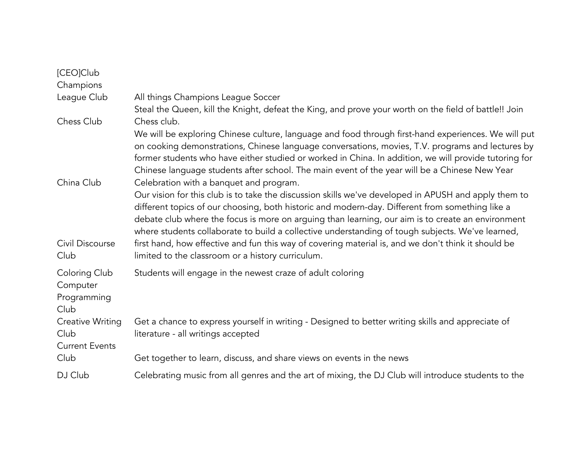| [CEO]Club                                         |                                                                                                                                                                                                                                                                                                                                                                                                                                                                                                                                                                                                                                                                         |
|---------------------------------------------------|-------------------------------------------------------------------------------------------------------------------------------------------------------------------------------------------------------------------------------------------------------------------------------------------------------------------------------------------------------------------------------------------------------------------------------------------------------------------------------------------------------------------------------------------------------------------------------------------------------------------------------------------------------------------------|
| Champions                                         |                                                                                                                                                                                                                                                                                                                                                                                                                                                                                                                                                                                                                                                                         |
| League Club                                       | All things Champions League Soccer                                                                                                                                                                                                                                                                                                                                                                                                                                                                                                                                                                                                                                      |
|                                                   | Steal the Queen, kill the Knight, defeat the King, and prove your worth on the field of battle!! Join                                                                                                                                                                                                                                                                                                                                                                                                                                                                                                                                                                   |
| Chess Club                                        | Chess club.                                                                                                                                                                                                                                                                                                                                                                                                                                                                                                                                                                                                                                                             |
| China Club                                        | We will be exploring Chinese culture, language and food through first-hand experiences. We will put<br>on cooking demonstrations, Chinese language conversations, movies, T.V. programs and lectures by<br>former students who have either studied or worked in China. In addition, we will provide tutoring for<br>Chinese language students after school. The main event of the year will be a Chinese New Year<br>Celebration with a banquet and program.<br>Our vision for this club is to take the discussion skills we've developed in APUSH and apply them to<br>different topics of our choosing, both historic and modern-day. Different from something like a |
| Civil Discourse<br>Club                           | debate club where the focus is more on arguing than learning, our aim is to create an environment<br>where students collaborate to build a collective understanding of tough subjects. We've learned,<br>first hand, how effective and fun this way of covering material is, and we don't think it should be<br>limited to the classroom or a history curriculum.                                                                                                                                                                                                                                                                                                       |
| Coloring Club<br>Computer<br>Programming<br>Club  | Students will engage in the newest craze of adult coloring                                                                                                                                                                                                                                                                                                                                                                                                                                                                                                                                                                                                              |
| Creative Writing<br>Club<br><b>Current Events</b> | Get a chance to express yourself in writing - Designed to better writing skills and appreciate of<br>literature - all writings accepted                                                                                                                                                                                                                                                                                                                                                                                                                                                                                                                                 |
| Club                                              | Get together to learn, discuss, and share views on events in the news                                                                                                                                                                                                                                                                                                                                                                                                                                                                                                                                                                                                   |
| DJ Club                                           | Celebrating music from all genres and the art of mixing, the DJ Club will introduce students to the                                                                                                                                                                                                                                                                                                                                                                                                                                                                                                                                                                     |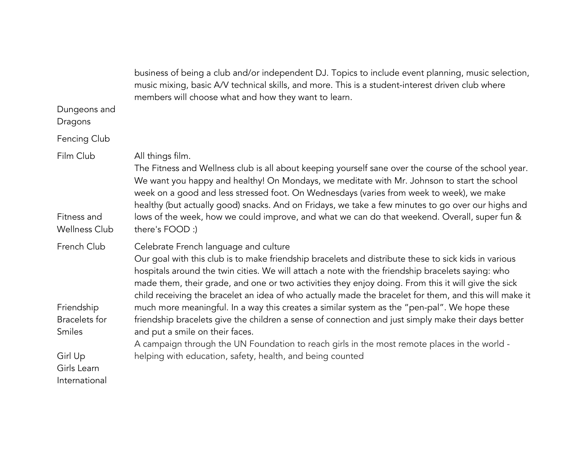|                                                                                                        | business of being a club and/or independent DJ. Topics to include event planning, music selection,<br>music mixing, basic A/V technical skills, and more. This is a student-interest driven club where<br>members will choose what and how they want to learn.                                                                                                                                                                                                                                                                                                                                                                                                                                                                                                                                                                                                             |
|--------------------------------------------------------------------------------------------------------|----------------------------------------------------------------------------------------------------------------------------------------------------------------------------------------------------------------------------------------------------------------------------------------------------------------------------------------------------------------------------------------------------------------------------------------------------------------------------------------------------------------------------------------------------------------------------------------------------------------------------------------------------------------------------------------------------------------------------------------------------------------------------------------------------------------------------------------------------------------------------|
| Dungeons and<br>Dragons                                                                                |                                                                                                                                                                                                                                                                                                                                                                                                                                                                                                                                                                                                                                                                                                                                                                                                                                                                            |
| Fencing Club                                                                                           |                                                                                                                                                                                                                                                                                                                                                                                                                                                                                                                                                                                                                                                                                                                                                                                                                                                                            |
| Film Club<br>Fitness and<br><b>Wellness Club</b>                                                       | All things film.<br>The Fitness and Wellness club is all about keeping yourself sane over the course of the school year.<br>We want you happy and healthy! On Mondays, we meditate with Mr. Johnson to start the school<br>week on a good and less stressed foot. On Wednesdays (varies from week to week), we make<br>healthy (but actually good) snacks. And on Fridays, we take a few minutes to go over our highs and<br>lows of the week, how we could improve, and what we can do that weekend. Overall, super fun &<br>there's FOOD :)                                                                                                                                                                                                                                                                                                                              |
| French Club<br>Friendship<br><b>Bracelets</b> for<br>Smiles<br>Girl Up<br>Girls Learn<br>International | Celebrate French language and culture<br>Our goal with this club is to make friendship bracelets and distribute these to sick kids in various<br>hospitals around the twin cities. We will attach a note with the friendship bracelets saying: who<br>made them, their grade, and one or two activities they enjoy doing. From this it will give the sick<br>child receiving the bracelet an idea of who actually made the bracelet for them, and this will make it<br>much more meaningful. In a way this creates a similar system as the "pen-pal". We hope these<br>friendship bracelets give the children a sense of connection and just simply make their days better<br>and put a smile on their faces.<br>A campaign through the UN Foundation to reach girls in the most remote places in the world -<br>helping with education, safety, health, and being counted |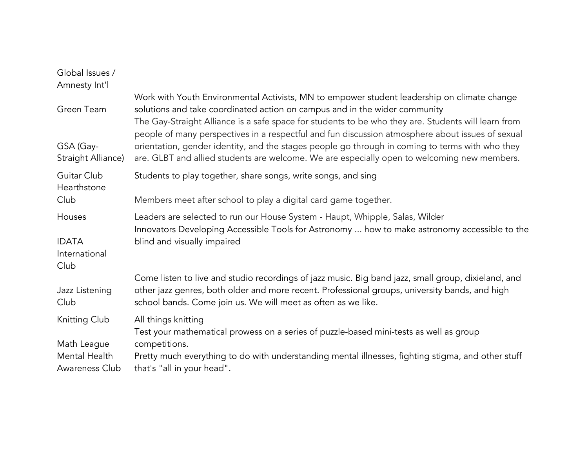| Global Issues /<br>Amnesty Int'l                |                                                                                                                                                                                                                                                                                                                                                                                                                                                                                                                                                                                        |
|-------------------------------------------------|----------------------------------------------------------------------------------------------------------------------------------------------------------------------------------------------------------------------------------------------------------------------------------------------------------------------------------------------------------------------------------------------------------------------------------------------------------------------------------------------------------------------------------------------------------------------------------------|
| Green Team<br>GSA (Gay-<br>Straight Alliance)   | Work with Youth Environmental Activists, MN to empower student leadership on climate change<br>solutions and take coordinated action on campus and in the wider community<br>The Gay-Straight Alliance is a safe space for students to be who they are. Students will learn from<br>people of many perspectives in a respectful and fun discussion atmosphere about issues of sexual<br>orientation, gender identity, and the stages people go through in coming to terms with who they<br>are. GLBT and allied students are welcome. We are especially open to welcoming new members. |
|                                                 |                                                                                                                                                                                                                                                                                                                                                                                                                                                                                                                                                                                        |
| Guitar Club<br>Hearthstone                      | Students to play together, share songs, write songs, and sing                                                                                                                                                                                                                                                                                                                                                                                                                                                                                                                          |
| Club                                            | Members meet after school to play a digital card game together.                                                                                                                                                                                                                                                                                                                                                                                                                                                                                                                        |
| Houses<br><b>IDATA</b><br>International<br>Club | Leaders are selected to run our House System - Haupt, Whipple, Salas, Wilder<br>Innovators Developing Accessible Tools for Astronomy  how to make astronomy accessible to the<br>blind and visually impaired                                                                                                                                                                                                                                                                                                                                                                           |
| Jazz Listening<br>Club                          | Come listen to live and studio recordings of jazz music. Big band jazz, small group, dixieland, and<br>other jazz genres, both older and more recent. Professional groups, university bands, and high<br>school bands. Come join us. We will meet as often as we like.                                                                                                                                                                                                                                                                                                                 |
| Knitting Club<br>Math League                    | All things knitting<br>Test your mathematical prowess on a series of puzzle-based mini-tests as well as group<br>competitions.                                                                                                                                                                                                                                                                                                                                                                                                                                                         |
| Mental Health<br>Awareness Club                 | Pretty much everything to do with understanding mental illnesses, fighting stigma, and other stuff<br>that's "all in your head".                                                                                                                                                                                                                                                                                                                                                                                                                                                       |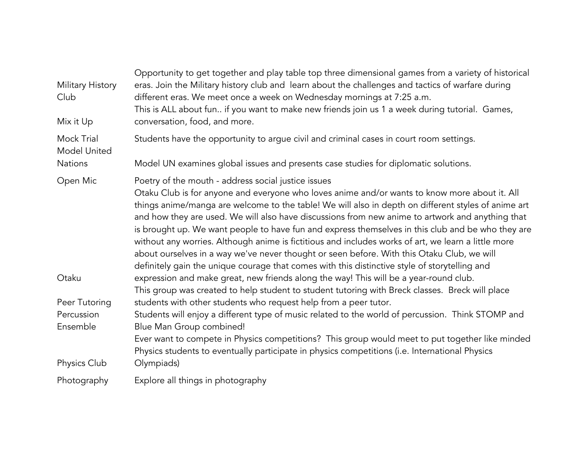| Opportunity to get together and play table top three dimensional games from a variety of historical<br>eras. Join the Military history club and learn about the challenges and tactics of warfare during<br>different eras. We meet once a week on Wednesday mornings at 7:25 a.m.<br>This is ALL about fun if you want to make new friends join us 1 a week during tutorial. Games,<br>conversation, food, and more.                                                                                                                                                                                                                                                                                               |
|---------------------------------------------------------------------------------------------------------------------------------------------------------------------------------------------------------------------------------------------------------------------------------------------------------------------------------------------------------------------------------------------------------------------------------------------------------------------------------------------------------------------------------------------------------------------------------------------------------------------------------------------------------------------------------------------------------------------|
| Students have the opportunity to argue civil and criminal cases in court room settings.                                                                                                                                                                                                                                                                                                                                                                                                                                                                                                                                                                                                                             |
| Model UN examines global issues and presents case studies for diplomatic solutions.                                                                                                                                                                                                                                                                                                                                                                                                                                                                                                                                                                                                                                 |
| Poetry of the mouth - address social justice issues                                                                                                                                                                                                                                                                                                                                                                                                                                                                                                                                                                                                                                                                 |
| Otaku Club is for anyone and everyone who loves anime and/or wants to know more about it. All<br>things anime/manga are welcome to the table! We will also in depth on different styles of anime art<br>and how they are used. We will also have discussions from new anime to artwork and anything that<br>is brought up. We want people to have fun and express themselves in this club and be who they are<br>without any worries. Although anime is fictitious and includes works of art, we learn a little more<br>about ourselves in a way we've never thought or seen before. With this Otaku Club, we will<br>definitely gain the unique courage that comes with this distinctive style of storytelling and |
| expression and make great, new friends along the way! This will be a year-round club.<br>This group was created to help student to student tutoring with Breck classes. Breck will place                                                                                                                                                                                                                                                                                                                                                                                                                                                                                                                            |
| students with other students who request help from a peer tutor.                                                                                                                                                                                                                                                                                                                                                                                                                                                                                                                                                                                                                                                    |
| Students will enjoy a different type of music related to the world of percussion. Think STOMP and                                                                                                                                                                                                                                                                                                                                                                                                                                                                                                                                                                                                                   |
| Blue Man Group combined!                                                                                                                                                                                                                                                                                                                                                                                                                                                                                                                                                                                                                                                                                            |
| Ever want to compete in Physics competitions? This group would meet to put together like minded<br>Physics students to eventually participate in physics competitions (i.e. International Physics                                                                                                                                                                                                                                                                                                                                                                                                                                                                                                                   |
| Olympiads)                                                                                                                                                                                                                                                                                                                                                                                                                                                                                                                                                                                                                                                                                                          |
| Explore all things in photography                                                                                                                                                                                                                                                                                                                                                                                                                                                                                                                                                                                                                                                                                   |
|                                                                                                                                                                                                                                                                                                                                                                                                                                                                                                                                                                                                                                                                                                                     |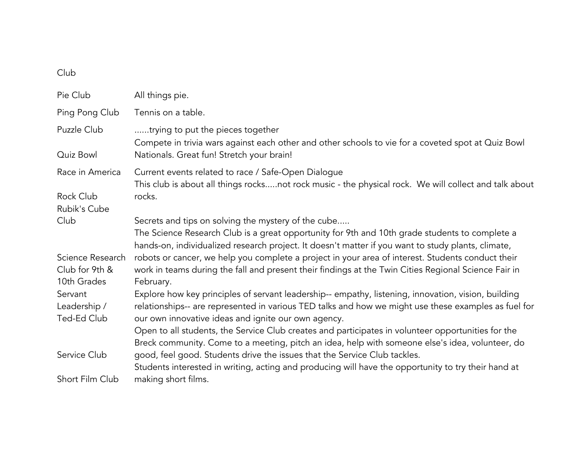## Club

| Pie Club                                          | All things pie.                                                                                                                                                                                                                                                                    |
|---------------------------------------------------|------------------------------------------------------------------------------------------------------------------------------------------------------------------------------------------------------------------------------------------------------------------------------------|
| Ping Pong Club                                    | Tennis on a table.                                                                                                                                                                                                                                                                 |
| Puzzle Club                                       | trying to put the pieces together<br>Compete in trivia wars against each other and other schools to vie for a coveted spot at Quiz Bowl                                                                                                                                            |
| Quiz Bowl                                         | Nationals. Great fun! Stretch your brain!                                                                                                                                                                                                                                          |
| Race in America                                   | Current events related to race / Safe-Open Dialogue<br>This club is about all things rocksnot rock music - the physical rock. We will collect and talk about                                                                                                                       |
| Rock Club<br>Rubik's Cube                         | rocks.                                                                                                                                                                                                                                                                             |
| Club                                              | Secrets and tips on solving the mystery of the cube<br>The Science Research Club is a great opportunity for 9th and 10th grade students to complete a<br>hands-on, individualized research project. It doesn't matter if you want to study plants, climate,                        |
| Science Research<br>Club for 9th &<br>10th Grades | robots or cancer, we help you complete a project in your area of interest. Students conduct their<br>work in teams during the fall and present their findings at the Twin Cities Regional Science Fair in<br>February.                                                             |
| Servant<br>Leadership /<br>Ted-Ed Club            | Explore how key principles of servant leadership-- empathy, listening, innovation, vision, building<br>relationships-- are represented in various TED talks and how we might use these examples as fuel for<br>our own innovative ideas and ignite our own agency.                 |
| Service Club                                      | Open to all students, the Service Club creates and participates in volunteer opportunities for the<br>Breck community. Come to a meeting, pitch an idea, help with someone else's idea, volunteer, do<br>good, feel good. Students drive the issues that the Service Club tackles. |
|                                                   | Students interested in writing, acting and producing will have the opportunity to try their hand at                                                                                                                                                                                |
| Short Film Club                                   | making short films.                                                                                                                                                                                                                                                                |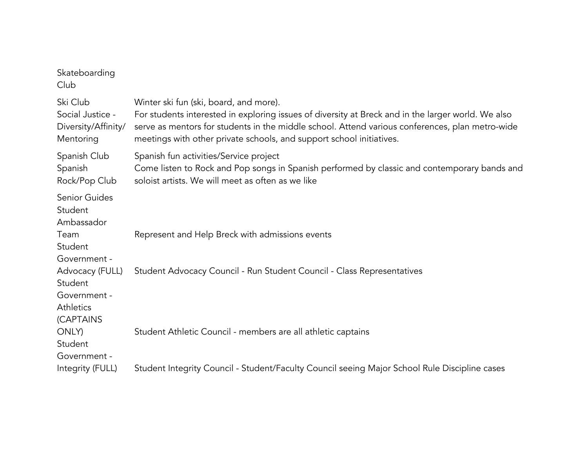| Skateboarding<br>Club                                                       |                                                                                                                                                                                                                                                                                                                         |
|-----------------------------------------------------------------------------|-------------------------------------------------------------------------------------------------------------------------------------------------------------------------------------------------------------------------------------------------------------------------------------------------------------------------|
| Ski Club<br>Social Justice -<br>Diversity/Affinity/<br>Mentoring            | Winter ski fun (ski, board, and more).<br>For students interested in exploring issues of diversity at Breck and in the larger world. We also<br>serve as mentors for students in the middle school. Attend various conferences, plan metro-wide<br>meetings with other private schools, and support school initiatives. |
| Spanish Club<br>Spanish<br>Rock/Pop Club                                    | Spanish fun activities/Service project<br>Come listen to Rock and Pop songs in Spanish performed by classic and contemporary bands and<br>soloist artists. We will meet as often as we like                                                                                                                             |
| <b>Senior Guides</b><br>Student<br>Ambassador                               |                                                                                                                                                                                                                                                                                                                         |
| Team<br>Student<br>Government -                                             | Represent and Help Breck with admissions events                                                                                                                                                                                                                                                                         |
| Advocacy (FULL)<br>Student<br>Government -<br><b>Athletics</b><br>(CAPTAINS | Student Advocacy Council - Run Student Council - Class Representatives                                                                                                                                                                                                                                                  |
| ONLY)<br>Student<br>Government -                                            | Student Athletic Council - members are all athletic captains                                                                                                                                                                                                                                                            |
| Integrity (FULL)                                                            | Student Integrity Council - Student/Faculty Council seeing Major School Rule Discipline cases                                                                                                                                                                                                                           |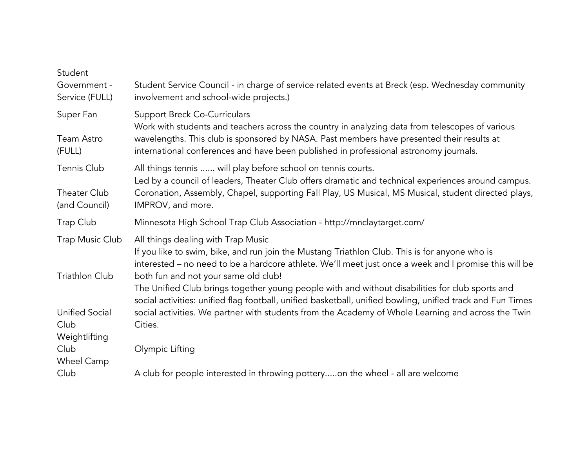| Student<br>Government -<br>Service (FULL)      | Student Service Council - in charge of service related events at Breck (esp. Wednesday community<br>involvement and school-wide projects.)                                                                                                            |
|------------------------------------------------|-------------------------------------------------------------------------------------------------------------------------------------------------------------------------------------------------------------------------------------------------------|
| Super Fan                                      | <b>Support Breck Co-Curriculars</b><br>Work with students and teachers across the country in analyzing data from telescopes of various                                                                                                                |
| Team Astro<br>(FULL)                           | wavelengths. This club is sponsored by NASA. Past members have presented their results at<br>international conferences and have been published in professional astronomy journals.                                                                    |
| Tennis Club                                    | All things tennis  will play before school on tennis courts.<br>Led by a council of leaders, Theater Club offers dramatic and technical experiences around campus.                                                                                    |
| Theater Club<br>(and Council)                  | Coronation, Assembly, Chapel, supporting Fall Play, US Musical, MS Musical, student directed plays,<br>IMPROV, and more.                                                                                                                              |
| Trap Club                                      | Minnesota High School Trap Club Association - http://mnclaytarget.com/                                                                                                                                                                                |
| Trap Music Club                                | All things dealing with Trap Music<br>If you like to swim, bike, and run join the Mustang Triathlon Club. This is for anyone who is<br>interested - no need to be a hardcore athlete. We'll meet just once a week and I promise this will be          |
| <b>Triathlon Club</b>                          | both fun and not your same old club!<br>The Unified Club brings together young people with and without disabilities for club sports and<br>social activities: unified flag football, unified basketball, unified bowling, unified track and Fun Times |
| <b>Unified Social</b><br>Club<br>Weightlifting | social activities. We partner with students from the Academy of Whole Learning and across the Twin<br>Cities.                                                                                                                                         |
| Club<br>Wheel Camp                             | Olympic Lifting                                                                                                                                                                                                                                       |
| Club                                           | A club for people interested in throwing potteryon the wheel - all are welcome                                                                                                                                                                        |